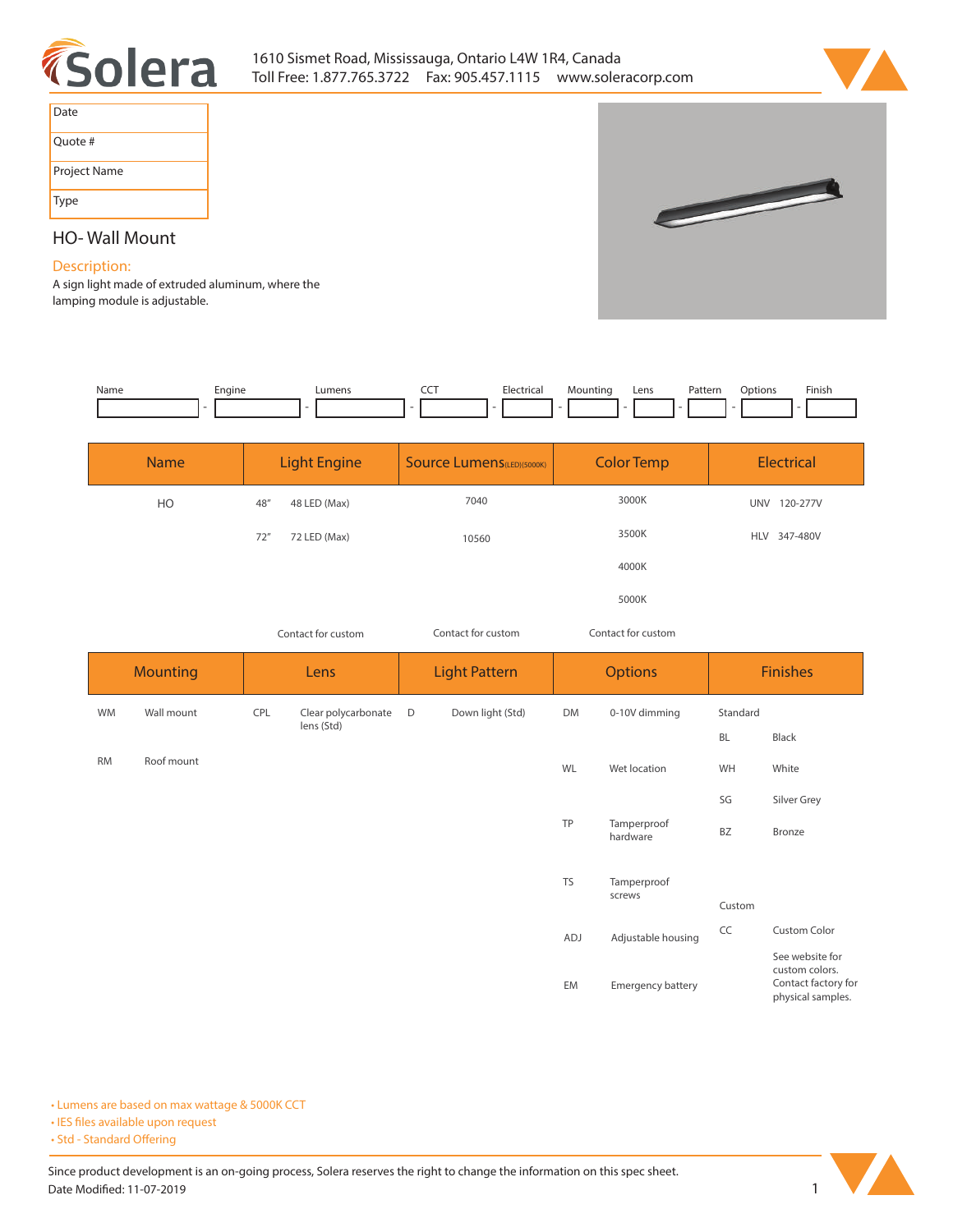



 $\overline{\phantom{a}}$ 

| Date         |
|--------------|
| Quote #      |
| Project Name |
| Type         |

# **HO- Wall Mount**

## **Description:**

**A sign light made of extruded aluminum, where the lamping module is adjustable.** 

| Name | Engine | umens | --- | Electrical | Mounting | Lens | Patterr | Dotion: | Finish |
|------|--------|-------|-----|------------|----------|------|---------|---------|--------|
|      |        |       |     |            | -        |      |         |         |        |

| <b>Name</b> | <b>Light Engine</b>  | <b>Source Lumens</b> (LED)(5000K) | <b>Color Temp</b> | Electrical             |  |
|-------------|----------------------|-----------------------------------|-------------------|------------------------|--|
| <b>HO</b>   | 48''<br>48 LED (Max) | 7040                              | 3000K             | 120-277V<br><b>UNV</b> |  |
|             | 72''<br>72 LED (Max) | 10560                             | 3500K             | HLV 347-480V           |  |
|             |                      |                                   | 4000K             |                        |  |
|             |                      |                                   | 5000K             |                        |  |

*Contact for custom Contact for custom*

*Contact for custom*

|           | <b>Mounting</b> |     | Lens                              |   | <b>Light Pattern</b> | <b>Options</b> |                         | <b>Finishes</b> |                                                                               |  |
|-----------|-----------------|-----|-----------------------------------|---|----------------------|----------------|-------------------------|-----------------|-------------------------------------------------------------------------------|--|
| <b>WM</b> | Wall mount      | CPL | Clear polycarbonate<br>lens (Std) | D | Down light (Std)     | DM             | 0-10V dimming           | Standard        |                                                                               |  |
|           |                 |     |                                   |   |                      |                | BL                      | Black           |                                                                               |  |
| <b>RM</b> | Roof mount      |     |                                   |   |                      | WL             | Wet location            | WH              | White                                                                         |  |
|           |                 |     |                                   |   |                      |                |                         | SG              | Silver Grey                                                                   |  |
|           |                 |     |                                   |   |                      | TP             | Tamperproof<br>hardware | BZ              | Bronze                                                                        |  |
|           |                 |     |                                   |   |                      | <b>TS</b>      | Tamperproof             |                 |                                                                               |  |
|           |                 |     |                                   |   |                      |                | screws                  | Custom          |                                                                               |  |
|           |                 |     |                                   |   |                      | ADJ            | Adjustable housing      | CC              | Custom Color                                                                  |  |
|           |                 |     |                                   |   |                      | EM             | Emergency battery       |                 | See website for<br>custom colors.<br>Contact factory for<br>physical samples. |  |

**• Lumens are based on max wattage & 5000K CCT**

**• IES files available upon request** 

• Std - Standard Offering

Since product development is an on-going process, Solera reserves the right to change the information on this spec sheet. **Date Modified: 11-07-2019** 1